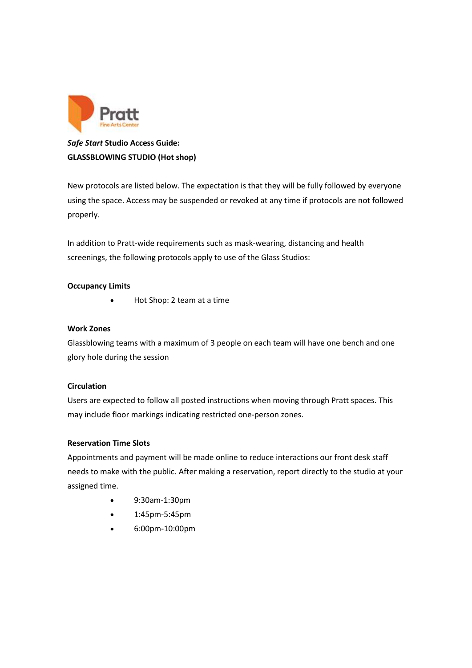

# *Safe Start* **Studio Access Guide: GLASSBLOWING STUDIO (Hot shop)**

New protocols are listed below. The expectation is that they will be fully followed by everyone using the space. Access may be suspended or revoked at any time if protocols are not followed properly.

In addition to Pratt-wide requirements such as mask-wearing, distancing and health screenings, the following protocols apply to use of the Glass Studios:

# **Occupancy Limits**

• Hot Shop: 2 team at a time

## **Work Zones**

Glassblowing teams with a maximum of 3 people on each team will have one bench and one glory hole during the session

## **Circulation**

Users are expected to follow all posted instructions when moving through Pratt spaces. This may include floor markings indicating restricted one-person zones.

## **Reservation Time Slots**

Appointments and payment will be made online to reduce interactions our front desk staff needs to make with the public. After making a reservation, report directly to the studio at your assigned time.

- 9:30am-1:30pm
- 1:45pm-5:45pm
- 6:00pm-10:00pm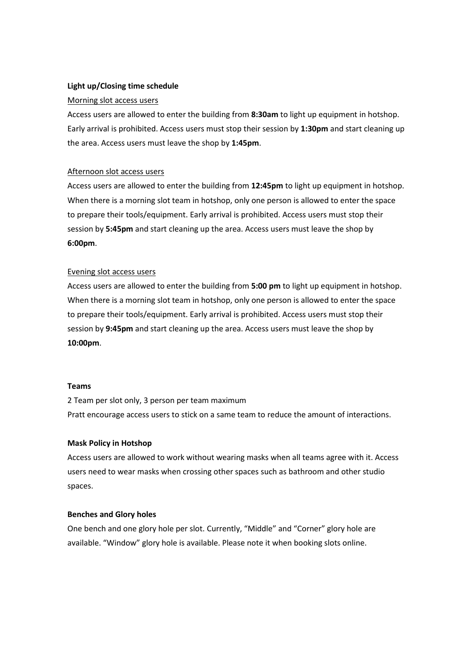## **Light up/Closing time schedule**

#### Morning slot access users

Access users are allowed to enter the building from **8:30am** to light up equipment in hotshop. Early arrival is prohibited. Access users must stop their session by **1:30pm** and start cleaning up the area. Access users must leave the shop by **1:45pm**.

### Afternoon slot access users

Access users are allowed to enter the building from **12:45pm** to light up equipment in hotshop. When there is a morning slot team in hotshop, only one person is allowed to enter the space to prepare their tools/equipment. Early arrival is prohibited. Access users must stop their session by **5:45pm** and start cleaning up the area. Access users must leave the shop by **6:00pm**.

#### Evening slot access users

Access users are allowed to enter the building from **5:00 pm** to light up equipment in hotshop. When there is a morning slot team in hotshop, only one person is allowed to enter the space to prepare their tools/equipment. Early arrival is prohibited. Access users must stop their session by **9:45pm** and start cleaning up the area. Access users must leave the shop by **10:00pm**.

#### **Teams**

2 Team per slot only, 3 person per team maximum Pratt encourage access users to stick on a same team to reduce the amount of interactions.

### **Mask Policy in Hotshop**

Access users are allowed to work without wearing masks when all teams agree with it. Access users need to wear masks when crossing other spaces such as bathroom and other studio spaces.

#### **Benches and Glory holes**

One bench and one glory hole per slot. Currently, "Middle" and "Corner" glory hole are available. "Window" glory hole is available. Please note it when booking slots online.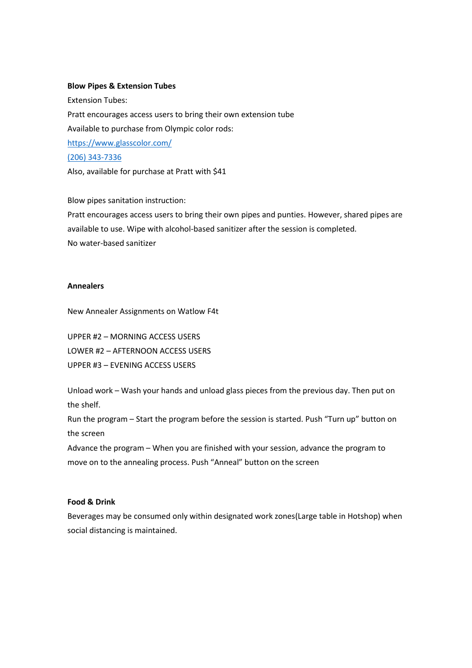#### **Blow Pipes & Extension Tubes**

Extension Tubes: Pratt encourages access users to bring their own extension tube Available to purchase from Olympic color rods: <https://www.glasscolor.com/> [\(206\) 343-7336](https://www.google.com/search?q=olympic+color+rods&rlz=1C1CHZL_enUS747US747&oq=&sourceid=chrome&ie=UTF-8) Also, available for purchase at Pratt with \$41

Blow pipes sanitation instruction:

Pratt encourages access users to bring their own pipes and punties. However, shared pipes are available to use. Wipe with alcohol-based sanitizer after the session is completed. No water-based sanitizer

#### **Annealers**

New Annealer Assignments on Watlow F4t

UPPER #2 – MORNING ACCESS USERS LOWER #2 – AFTERNOON ACCESS USERS UPPER #3 – EVENING ACCESS USERS

Unload work – Wash your hands and unload glass pieces from the previous day. Then put on the shelf.

Run the program – Start the program before the session is started. Push "Turn up" button on the screen

Advance the program – When you are finished with your session, advance the program to move on to the annealing process. Push "Anneal" button on the screen

## **Food & Drink**

Beverages may be consumed only within designated work zones(Large table in Hotshop) when social distancing is maintained.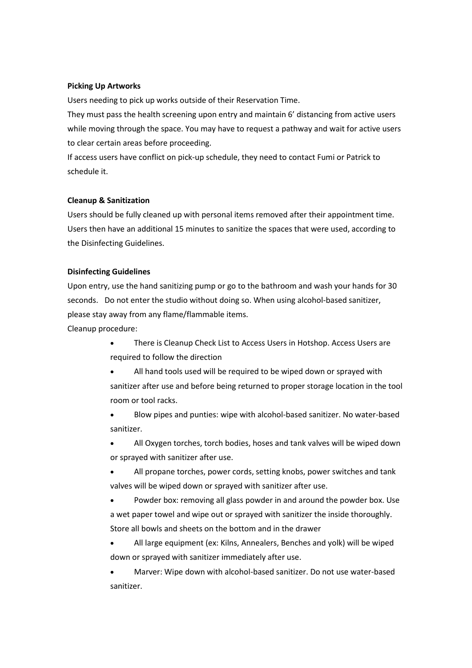### **Picking Up Artworks**

Users needing to pick up works outside of their Reservation Time.

They must pass the health screening upon entry and maintain 6' distancing from active users while moving through the space. You may have to request a pathway and wait for active users to clear certain areas before proceeding.

If access users have conflict on pick-up schedule, they need to contact Fumi or Patrick to schedule it.

### **Cleanup & Sanitization**

Users should be fully cleaned up with personal items removed after their appointment time.  Users then have an additional 15 minutes to sanitize the spaces that were used, according to the Disinfecting Guidelines.

### **Disinfecting Guidelines**

Upon entry, use the hand sanitizing pump or go to the bathroom and wash your hands for 30 seconds. Do not enter the studio without doing so. When using alcohol-based sanitizer, please stay away from any flame/flammable items.

Cleanup procedure:

- There is Cleanup Check List to Access Users in Hotshop. Access Users are required to follow the direction
- All hand tools used will be required to be wiped down or sprayed with sanitizer after use and before being returned to proper storage location in the tool room or tool racks.
- Blow pipes and punties: wipe with alcohol-based sanitizer. No water-based sanitizer.
- All Oxygen torches, torch bodies, hoses and tank valves will be wiped down or sprayed with sanitizer after use.
- All propane torches, power cords, setting knobs, power switches and tank valves will be wiped down or sprayed with sanitizer after use.
- Powder box: removing all glass powder in and around the powder box. Use a wet paper towel and wipe out or sprayed with sanitizer the inside thoroughly. Store all bowls and sheets on the bottom and in the drawer
- All large equipment (ex: Kilns, Annealers, Benches and yolk) will be wiped down or sprayed with sanitizer immediately after use.
- Marver: Wipe down with alcohol-based sanitizer. Do not use water-based sanitizer.